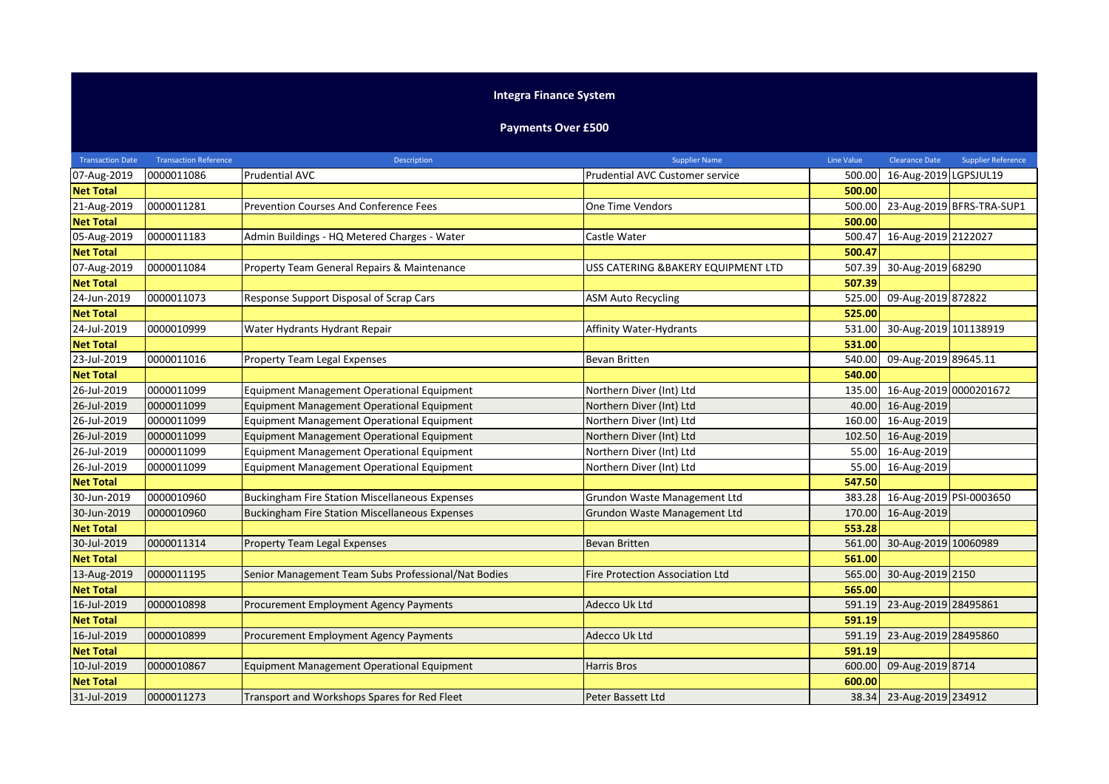## **Integra Finance System**

## **Payments Over £500**

| <b>Transaction Date</b> | <b>Transaction Reference</b> | Description                                           | <b>Supplier Name</b>                   | Line Value | <b>Clearance Date</b>          | <b>Supplier Reference</b> |
|-------------------------|------------------------------|-------------------------------------------------------|----------------------------------------|------------|--------------------------------|---------------------------|
| 07-Aug-2019             | 0000011086                   | <b>Prudential AVC</b>                                 | Prudential AVC Customer service        | 500.00     | 16-Aug-2019 LGPSJUL19          |                           |
| <b>Net Total</b>        |                              |                                                       |                                        | 500.00     |                                |                           |
| 21-Aug-2019             | 0000011281                   | Prevention Courses And Conference Fees                | <b>One Time Vendors</b>                | 500.00     |                                | 23-Aug-2019 BFRS-TRA-SUP1 |
| <b>Net Total</b>        |                              |                                                       |                                        | 500.00     |                                |                           |
| 05-Aug-2019             | 0000011183                   | Admin Buildings - HQ Metered Charges - Water          | Castle Water                           | 500.47     | 16-Aug-2019 2122027            |                           |
| <b>Net Total</b>        |                              |                                                       |                                        | 500.47     |                                |                           |
| 07-Aug-2019             | 0000011084                   | Property Team General Repairs & Maintenance           | USS CATERING & BAKERY EQUIPMENT LTD    | 507.39     | 30-Aug-2019 68290              |                           |
| <b>Net Total</b>        |                              |                                                       |                                        | 507.39     |                                |                           |
| 24-Jun-2019             | 0000011073                   | Response Support Disposal of Scrap Cars               | <b>ASM Auto Recycling</b>              | 525.00     | 09-Aug-2019 872822             |                           |
| <b>Net Total</b>        |                              |                                                       |                                        | 525.00     |                                |                           |
| 24-Jul-2019             | 0000010999                   | Water Hydrants Hydrant Repair                         | Affinity Water-Hydrants                |            | 531.00 30-Aug-2019 101138919   |                           |
| <b>Net Total</b>        |                              |                                                       |                                        | 531.00     |                                |                           |
| 23-Jul-2019             | 0000011016                   | <b>Property Team Legal Expenses</b>                   | <b>Bevan Britten</b>                   | 540.00     | 09-Aug-2019 89645.11           |                           |
| <b>Net Total</b>        |                              |                                                       |                                        | 540.00     |                                |                           |
| 26-Jul-2019             | 0000011099                   | Equipment Management Operational Equipment            | Northern Diver (Int) Ltd               | 135.00     | 16-Aug-2019 0000201672         |                           |
| 26-Jul-2019             | 0000011099                   | Equipment Management Operational Equipment            | Northern Diver (Int) Ltd               |            | 40.00 16-Aug-2019              |                           |
| 26-Jul-2019             | 0000011099                   | Equipment Management Operational Equipment            | Northern Diver (Int) Ltd               | 160.00     | 16-Aug-2019                    |                           |
| 26-Jul-2019             | 0000011099                   | <b>Equipment Management Operational Equipment</b>     | Northern Diver (Int) Ltd               | 102.50     | 16-Aug-2019                    |                           |
| 26-Jul-2019             | 0000011099                   | Equipment Management Operational Equipment            | Northern Diver (Int) Ltd               | 55.00      | 16-Aug-2019                    |                           |
| 26-Jul-2019             | 0000011099                   | Equipment Management Operational Equipment            | Northern Diver (Int) Ltd               | 55.00      | 16-Aug-2019                    |                           |
| <b>Net Total</b>        |                              |                                                       |                                        | 547.50     |                                |                           |
| 30-Jun-2019             | 0000010960                   | <b>Buckingham Fire Station Miscellaneous Expenses</b> | Grundon Waste Management Ltd           |            | 383.28 16-Aug-2019 PSI-0003650 |                           |
| 30-Jun-2019             | 0000010960                   | <b>Buckingham Fire Station Miscellaneous Expenses</b> | Grundon Waste Management Ltd           |            | 170.00 16-Aug-2019             |                           |
| <b>Net Total</b>        |                              |                                                       |                                        | 553.28     |                                |                           |
| 30-Jul-2019             | 0000011314                   | <b>Property Team Legal Expenses</b>                   | <b>Bevan Britten</b>                   |            | 561.00 30-Aug-2019 10060989    |                           |
| <b>Net Total</b>        |                              |                                                       |                                        | 561.00     |                                |                           |
| 13-Aug-2019             | 0000011195                   | Senior Management Team Subs Professional/Nat Bodies   | <b>Fire Protection Association Ltd</b> | 565.00     | 30-Aug-2019 2150               |                           |
| <b>Net Total</b>        |                              |                                                       |                                        | 565.00     |                                |                           |
| 16-Jul-2019             | 0000010898                   | Procurement Employment Agency Payments                | Adecco Uk Ltd                          | 591.19     | 23-Aug-2019 28495861           |                           |
| <b>Net Total</b>        |                              |                                                       |                                        | 591.19     |                                |                           |
| 16-Jul-2019             | 0000010899                   | Procurement Employment Agency Payments                | Adecco Uk Ltd                          | 591.19     | 23-Aug-2019 28495860           |                           |
| <b>Net Total</b>        |                              |                                                       |                                        | 591.19     |                                |                           |
| 10-Jul-2019             | 0000010867                   | <b>Equipment Management Operational Equipment</b>     | <b>Harris Bros</b>                     | 600.00     | 09-Aug-2019 8714               |                           |
| <b>Net Total</b>        |                              |                                                       |                                        | 600.00     |                                |                           |
| 31-Jul-2019             | 0000011273                   | Transport and Workshops Spares for Red Fleet          | Peter Bassett Ltd                      |            | 38.34 23-Aug-2019 234912       |                           |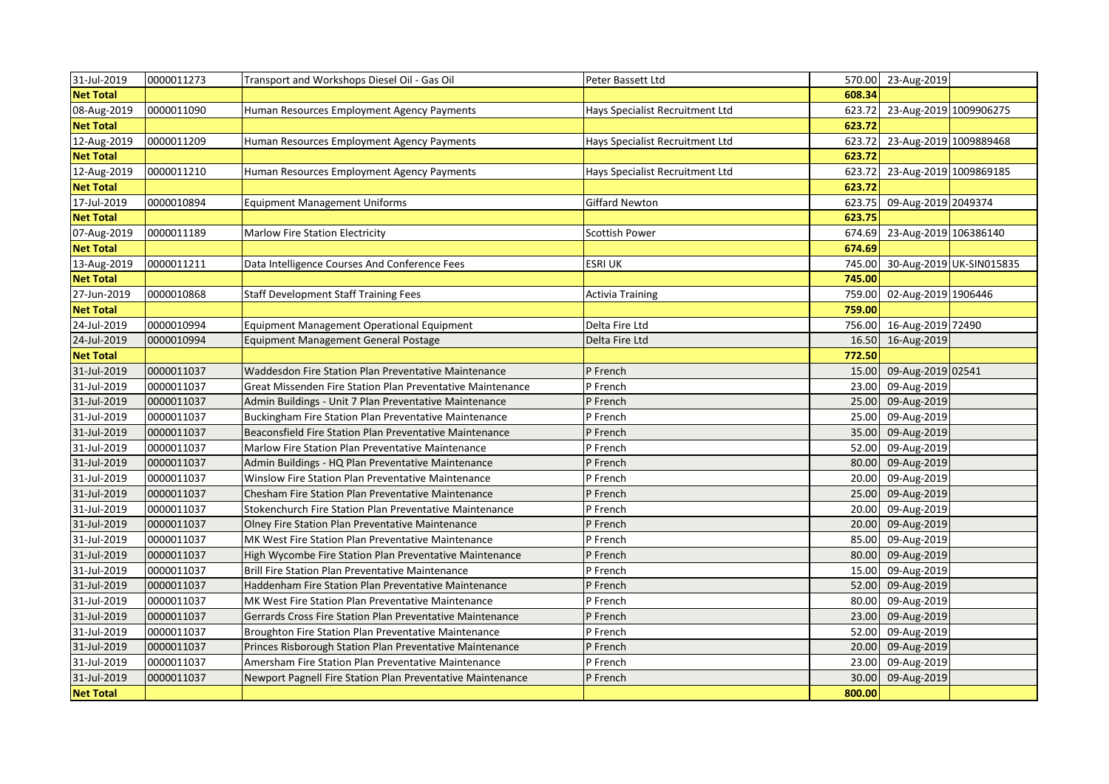| 31-Jul-2019      | 0000011273 | Transport and Workshops Diesel Oil - Gas Oil               | Peter Bassett Ltd               |        | 570.00 23-Aug-2019       |                          |
|------------------|------------|------------------------------------------------------------|---------------------------------|--------|--------------------------|--------------------------|
| <b>Net Total</b> |            |                                                            |                                 | 608.34 |                          |                          |
| 08-Aug-2019      | 0000011090 | Human Resources Employment Agency Payments                 | Hays Specialist Recruitment Ltd | 623.72 | 23-Aug-2019 1009906275   |                          |
| <b>Net Total</b> |            |                                                            |                                 | 623.72 |                          |                          |
| 12-Aug-2019      | 0000011209 | Human Resources Employment Agency Payments                 | Hays Specialist Recruitment Ltd | 623.72 | 23-Aug-2019 1009889468   |                          |
| <b>Net Total</b> |            |                                                            |                                 | 623.72 |                          |                          |
| 12-Aug-2019      | 0000011210 | Human Resources Employment Agency Payments                 | Hays Specialist Recruitment Ltd | 623.72 | 23-Aug-2019 1009869185   |                          |
| <b>Net Total</b> |            |                                                            |                                 | 623.72 |                          |                          |
| 17-Jul-2019      | 0000010894 | <b>Equipment Management Uniforms</b>                       | <b>Giffard Newton</b>           | 623.75 | 09-Aug-2019 2049374      |                          |
| <b>Net Total</b> |            |                                                            |                                 | 623.75 |                          |                          |
| 07-Aug-2019      | 0000011189 | Marlow Fire Station Electricity                            | <b>Scottish Power</b>           | 674.69 | 23-Aug-2019 106386140    |                          |
| <b>Net Total</b> |            |                                                            |                                 | 674.69 |                          |                          |
| 13-Aug-2019      | 0000011211 | Data Intelligence Courses And Conference Fees              | <b>ESRI UK</b>                  | 745.00 |                          | 30-Aug-2019 UK-SIN015835 |
| <b>Net Total</b> |            |                                                            |                                 | 745.00 |                          |                          |
| 27-Jun-2019      | 0000010868 | <b>Staff Development Staff Training Fees</b>               | <b>Activia Training</b>         | 759.00 | 02-Aug-2019 1906446      |                          |
| <b>Net Total</b> |            |                                                            |                                 | 759.00 |                          |                          |
| 24-Jul-2019      | 0000010994 | <b>Equipment Management Operational Equipment</b>          | Delta Fire Ltd                  |        | 756.00 16-Aug-2019 72490 |                          |
| 24-Jul-2019      | 0000010994 | <b>Equipment Management General Postage</b>                | Delta Fire Ltd                  | 16.50  | 16-Aug-2019              |                          |
| <b>Net Total</b> |            |                                                            |                                 | 772.50 |                          |                          |
| 31-Jul-2019      | 0000011037 | Waddesdon Fire Station Plan Preventative Maintenance       | P French                        | 15.00  | 09-Aug-2019 02541        |                          |
| 31-Jul-2019      | 0000011037 | Great Missenden Fire Station Plan Preventative Maintenance | P French                        | 23.00  | 09-Aug-2019              |                          |
| 31-Jul-2019      | 0000011037 | Admin Buildings - Unit 7 Plan Preventative Maintenance     | P French                        | 25.00  | 09-Aug-2019              |                          |
| 31-Jul-2019      | 0000011037 | Buckingham Fire Station Plan Preventative Maintenance      | P French                        | 25.00  | 09-Aug-2019              |                          |
| 31-Jul-2019      | 0000011037 | Beaconsfield Fire Station Plan Preventative Maintenance    | P French                        | 35.00  | 09-Aug-2019              |                          |
| 31-Jul-2019      | 0000011037 | Marlow Fire Station Plan Preventative Maintenance          | P French                        | 52.00  | 09-Aug-2019              |                          |
| 31-Jul-2019      | 0000011037 | Admin Buildings - HQ Plan Preventative Maintenance         | P French                        | 80.00  | 09-Aug-2019              |                          |
| 31-Jul-2019      | 0000011037 | Winslow Fire Station Plan Preventative Maintenance         | P French                        | 20.00  | 09-Aug-2019              |                          |
| 31-Jul-2019      | 0000011037 | Chesham Fire Station Plan Preventative Maintenance         | P French                        | 25.00  | 09-Aug-2019              |                          |
| 31-Jul-2019      | 0000011037 | Stokenchurch Fire Station Plan Preventative Maintenance    | P French                        | 20.00  | 09-Aug-2019              |                          |
| 31-Jul-2019      | 0000011037 | Olney Fire Station Plan Preventative Maintenance           | P French                        | 20.00  | 09-Aug-2019              |                          |
| 31-Jul-2019      | 0000011037 | MK West Fire Station Plan Preventative Maintenance         | P French                        | 85.00  | 09-Aug-2019              |                          |
| 31-Jul-2019      | 0000011037 | High Wycombe Fire Station Plan Preventative Maintenance    | P French                        | 80.00  | 09-Aug-2019              |                          |
| 31-Jul-2019      | 0000011037 | <b>Brill Fire Station Plan Preventative Maintenance</b>    | P French                        | 15.00  | 09-Aug-2019              |                          |
| 31-Jul-2019      | 0000011037 | Haddenham Fire Station Plan Preventative Maintenance       | P French                        | 52.00  | 09-Aug-2019              |                          |
| 31-Jul-2019      | 0000011037 | MK West Fire Station Plan Preventative Maintenance         | P French                        | 80.00  | 09-Aug-2019              |                          |
| 31-Jul-2019      | 0000011037 | Gerrards Cross Fire Station Plan Preventative Maintenance  | P French                        | 23.00  | 09-Aug-2019              |                          |
| 31-Jul-2019      | 0000011037 | Broughton Fire Station Plan Preventative Maintenance       | P French                        | 52.00  | 09-Aug-2019              |                          |
| 31-Jul-2019      | 0000011037 | Princes Risborough Station Plan Preventative Maintenance   | P French                        | 20.00  | 09-Aug-2019              |                          |
| 31-Jul-2019      | 0000011037 | Amersham Fire Station Plan Preventative Maintenance        | P French                        | 23.00  | 09-Aug-2019              |                          |
| 31-Jul-2019      | 0000011037 | Newport Pagnell Fire Station Plan Preventative Maintenance | P French                        | 30.00  | 09-Aug-2019              |                          |
| <b>Net Total</b> |            |                                                            |                                 | 800.00 |                          |                          |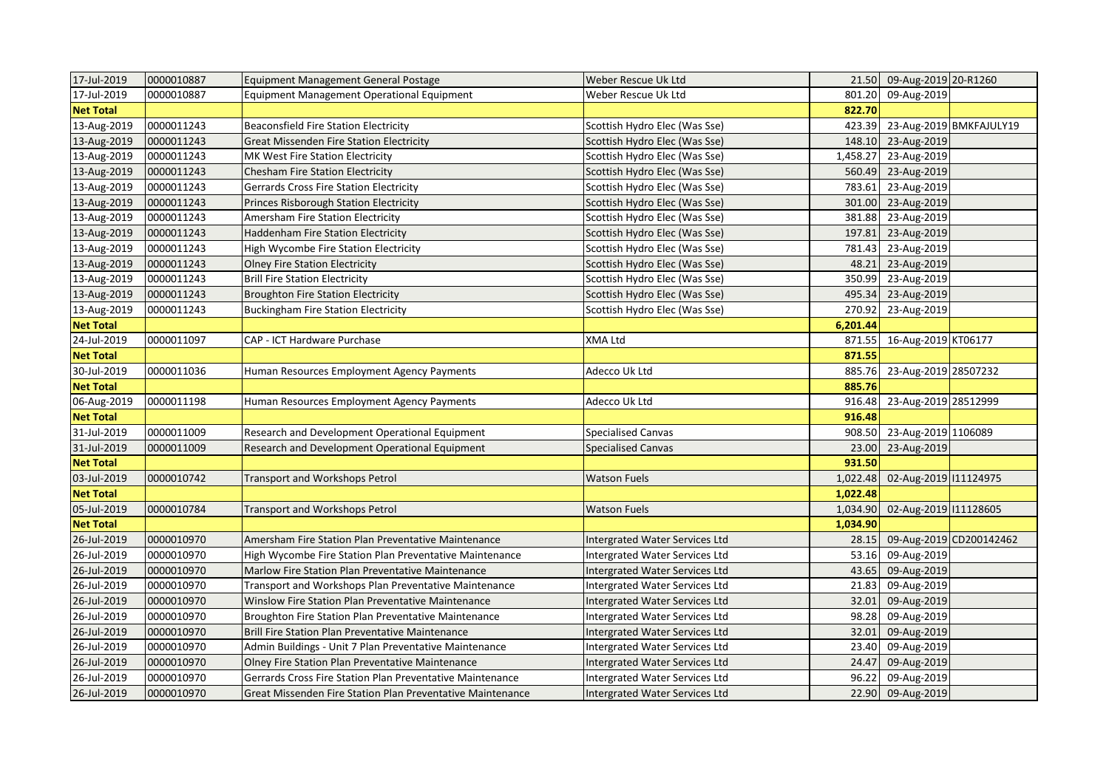| 17-Jul-2019      | 0000010887 | Equipment Management General Postage                        | Weber Rescue Uk Ltd                   |          | 21.50 09-Aug-2019 20-R1260 |                         |
|------------------|------------|-------------------------------------------------------------|---------------------------------------|----------|----------------------------|-------------------------|
| 17-Jul-2019      | 0000010887 | <b>Equipment Management Operational Equipment</b>           | Weber Rescue Uk Ltd                   | 801.20   | 09-Aug-2019                |                         |
| <b>Net Total</b> |            |                                                             |                                       | 822.70   |                            |                         |
| 13-Aug-2019      | 0000011243 | <b>Beaconsfield Fire Station Electricity</b>                | Scottish Hydro Elec (Was Sse)         | 423.39   |                            | 23-Aug-2019 BMKFAJULY19 |
| 13-Aug-2019      | 0000011243 | <b>Great Missenden Fire Station Electricity</b>             | Scottish Hydro Elec (Was Sse)         | 148.10   | 23-Aug-2019                |                         |
| 13-Aug-2019      | 0000011243 | MK West Fire Station Electricity                            | Scottish Hydro Elec (Was Sse)         | 1,458.27 | 23-Aug-2019                |                         |
| 13-Aug-2019      | 0000011243 | <b>Chesham Fire Station Electricity</b>                     | Scottish Hydro Elec (Was Sse)         | 560.49   | 23-Aug-2019                |                         |
| 13-Aug-2019      | 0000011243 | <b>Gerrards Cross Fire Station Electricity</b>              | Scottish Hydro Elec (Was Sse)         | 783.61   | 23-Aug-2019                |                         |
| 13-Aug-2019      | 0000011243 | Princes Risborough Station Electricity                      | Scottish Hydro Elec (Was Sse)         | 301.00   | 23-Aug-2019                |                         |
| 13-Aug-2019      | 0000011243 | Amersham Fire Station Electricity                           | Scottish Hydro Elec (Was Sse)         | 381.88   | 23-Aug-2019                |                         |
| 13-Aug-2019      | 0000011243 | <b>Haddenham Fire Station Electricity</b>                   | Scottish Hydro Elec (Was Sse)         | 197.81   | 23-Aug-2019                |                         |
| 13-Aug-2019      | 0000011243 | High Wycombe Fire Station Electricity                       | Scottish Hydro Elec (Was Sse)         | 781.43   | 23-Aug-2019                |                         |
| 13-Aug-2019      | 0000011243 | <b>Olney Fire Station Electricity</b>                       | Scottish Hydro Elec (Was Sse)         | 48.21    | 23-Aug-2019                |                         |
| 13-Aug-2019      | 0000011243 | <b>Brill Fire Station Electricity</b>                       | Scottish Hydro Elec (Was Sse)         | 350.99   | 23-Aug-2019                |                         |
| 13-Aug-2019      | 0000011243 | <b>Broughton Fire Station Electricity</b>                   | Scottish Hydro Elec (Was Sse)         | 495.34   | 23-Aug-2019                |                         |
| 13-Aug-2019      | 0000011243 | <b>Buckingham Fire Station Electricity</b>                  | Scottish Hydro Elec (Was Sse)         | 270.92   | 23-Aug-2019                |                         |
| <b>Net Total</b> |            |                                                             |                                       | 6,201.44 |                            |                         |
| 24-Jul-2019      | 0000011097 | CAP - ICT Hardware Purchase                                 | XMA Ltd                               |          | 871.55 16-Aug-2019 KT06177 |                         |
| <b>Net Total</b> |            |                                                             |                                       | 871.55   |                            |                         |
| 30-Jul-2019      | 0000011036 | Human Resources Employment Agency Payments                  | Adecco Uk Ltd                         | 885.76   | 23-Aug-2019 28507232       |                         |
| <b>Net Total</b> |            |                                                             |                                       | 885.76   |                            |                         |
| 06-Aug-2019      | 0000011198 | Human Resources Employment Agency Payments                  | Adecco Uk Ltd                         | 916.48   | 23-Aug-2019 28512999       |                         |
| <b>Net Total</b> |            |                                                             |                                       | 916.48   |                            |                         |
| 31-Jul-2019      | 0000011009 | Research and Development Operational Equipment              | <b>Specialised Canvas</b>             | 908.50   | 23-Aug-2019 1106089        |                         |
| 31-Jul-2019      | 0000011009 | Research and Development Operational Equipment              | <b>Specialised Canvas</b>             | 23.00    | 23-Aug-2019                |                         |
| <b>Net Total</b> |            |                                                             |                                       | 931.50   |                            |                         |
| 03-Jul-2019      | 0000010742 | Transport and Workshops Petrol                              | <b>Watson Fuels</b>                   | 1,022.48 | 02-Aug-2019 111124975      |                         |
| <b>Net Total</b> |            |                                                             |                                       | 1,022.48 |                            |                         |
| 05-Jul-2019      | 0000010784 | Transport and Workshops Petrol                              | <b>Watson Fuels</b>                   | 1,034.90 | 02-Aug-2019 111128605      |                         |
| <b>Net Total</b> |            |                                                             |                                       | 1,034.90 |                            |                         |
| 26-Jul-2019      | 0000010970 | Amersham Fire Station Plan Preventative Maintenance         | Intergrated Water Services Ltd        | 28.15    |                            | 09-Aug-2019 CD200142462 |
| 26-Jul-2019      | 0000010970 | High Wycombe Fire Station Plan Preventative Maintenance     | Intergrated Water Services Ltd        | 53.16    | 09-Aug-2019                |                         |
| 26-Jul-2019      | 0000010970 | Marlow Fire Station Plan Preventative Maintenance           | Intergrated Water Services Ltd        | 43.65    | 09-Aug-2019                |                         |
| 26-Jul-2019      | 0000010970 | Transport and Workshops Plan Preventative Maintenance       | Intergrated Water Services Ltd        | 21.83    | 09-Aug-2019                |                         |
| 26-Jul-2019      | 0000010970 | Winslow Fire Station Plan Preventative Maintenance          | Intergrated Water Services Ltd        | 32.01    | 09-Aug-2019                |                         |
| 26-Jul-2019      | 0000010970 | <b>Broughton Fire Station Plan Preventative Maintenance</b> | Intergrated Water Services Ltd        | 98.28    | 09-Aug-2019                |                         |
| 26-Jul-2019      | 0000010970 | <b>Brill Fire Station Plan Preventative Maintenance</b>     | Intergrated Water Services Ltd        | 32.01    | 09-Aug-2019                |                         |
| 26-Jul-2019      | 0000010970 | Admin Buildings - Unit 7 Plan Preventative Maintenance      | Intergrated Water Services Ltd        | 23.40    | 09-Aug-2019                |                         |
| 26-Jul-2019      | 0000010970 | Olney Fire Station Plan Preventative Maintenance            | <b>Intergrated Water Services Ltd</b> | 24.47    | 09-Aug-2019                |                         |
| 26-Jul-2019      | 0000010970 | Gerrards Cross Fire Station Plan Preventative Maintenance   | Intergrated Water Services Ltd        | 96.22    | 09-Aug-2019                |                         |
| 26-Jul-2019      | 0000010970 | Great Missenden Fire Station Plan Preventative Maintenance  | Intergrated Water Services Ltd        |          | 22.90 09-Aug-2019          |                         |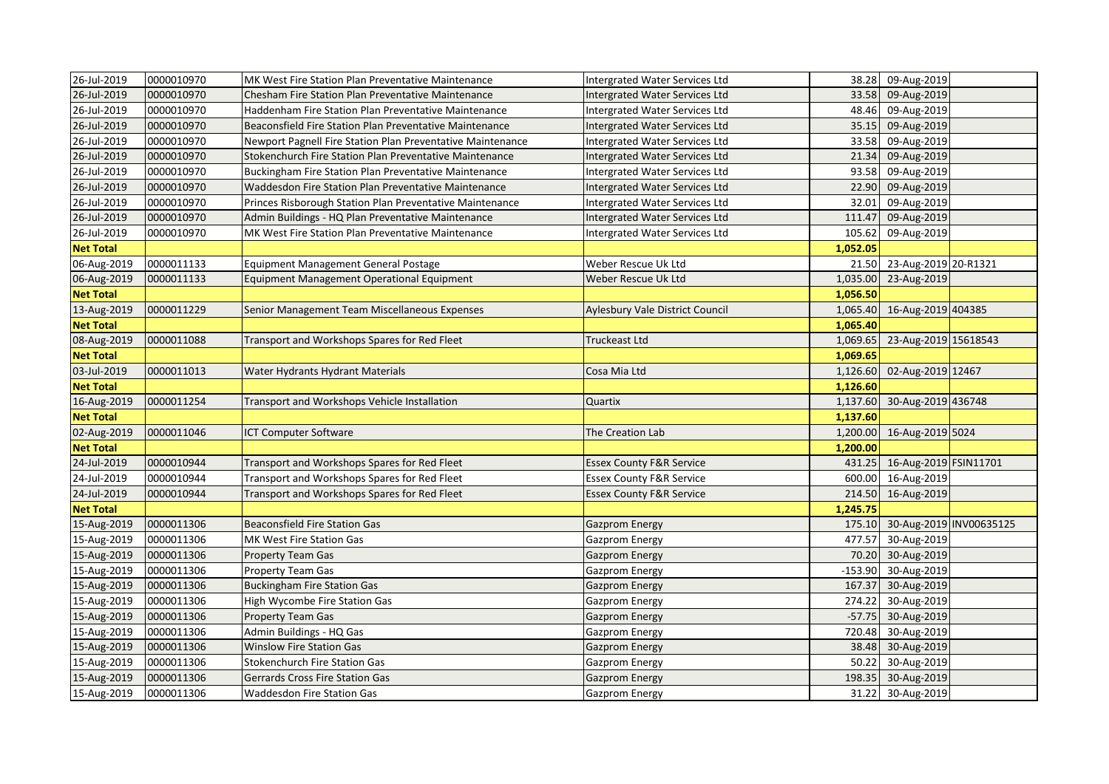| 26-Jul-2019      | 0000010970 | MK West Fire Station Plan Preventative Maintenance         | Intergrated Water Services Ltd        |           | 38.28 09-Aug-2019              |  |
|------------------|------------|------------------------------------------------------------|---------------------------------------|-----------|--------------------------------|--|
| 26-Jul-2019      | 0000010970 | Chesham Fire Station Plan Preventative Maintenance         | <b>Intergrated Water Services Ltd</b> | 33.58     | 09-Aug-2019                    |  |
| 26-Jul-2019      | 0000010970 | Haddenham Fire Station Plan Preventative Maintenance       | Intergrated Water Services Ltd        | 48.46     | 09-Aug-2019                    |  |
| 26-Jul-2019      | 0000010970 | Beaconsfield Fire Station Plan Preventative Maintenance    | Intergrated Water Services Ltd        | 35.15     | 09-Aug-2019                    |  |
| 26-Jul-2019      | 0000010970 | Newport Pagnell Fire Station Plan Preventative Maintenance | Intergrated Water Services Ltd        | 33.58     | 09-Aug-2019                    |  |
| 26-Jul-2019      | 0000010970 | Stokenchurch Fire Station Plan Preventative Maintenance    | Intergrated Water Services Ltd        | 21.34     | 09-Aug-2019                    |  |
| 26-Jul-2019      | 0000010970 | Buckingham Fire Station Plan Preventative Maintenance      | Intergrated Water Services Ltd        | 93.58     | 09-Aug-2019                    |  |
| 26-Jul-2019      | 0000010970 | Waddesdon Fire Station Plan Preventative Maintenance       | Intergrated Water Services Ltd        | 22.90     | 09-Aug-2019                    |  |
| 26-Jul-2019      | 0000010970 | Princes Risborough Station Plan Preventative Maintenance   | Intergrated Water Services Ltd        | 32.01     | 09-Aug-2019                    |  |
| 26-Jul-2019      | 0000010970 | Admin Buildings - HQ Plan Preventative Maintenance         | Intergrated Water Services Ltd        | 111.47    | 09-Aug-2019                    |  |
| 26-Jul-2019      | 0000010970 | MK West Fire Station Plan Preventative Maintenance         | Intergrated Water Services Ltd        | 105.62    | 09-Aug-2019                    |  |
| <b>Net Total</b> |            |                                                            |                                       | 1,052.05  |                                |  |
| 06-Aug-2019      | 0000011133 | Equipment Management General Postage                       | Weber Rescue Uk Ltd                   | 21.50     | 23-Aug-2019 20-R1321           |  |
| 06-Aug-2019      | 0000011133 | <b>Equipment Management Operational Equipment</b>          | Weber Rescue Uk Ltd                   | 1,035.00  | 23-Aug-2019                    |  |
| <b>Net Total</b> |            |                                                            |                                       | 1,056.50  |                                |  |
| 13-Aug-2019      | 0000011229 | Senior Management Team Miscellaneous Expenses              | Aylesbury Vale District Council       | 1,065.40  | 16-Aug-2019 404385             |  |
| <b>Net Total</b> |            |                                                            |                                       | 1,065.40  |                                |  |
| 08-Aug-2019      | 0000011088 | Transport and Workshops Spares for Red Fleet               | Truckeast Ltd                         | 1,069.65  | 23-Aug-2019 15618543           |  |
| <b>Net Total</b> |            |                                                            |                                       | 1,069.65  |                                |  |
| 03-Jul-2019      | 0000011013 | Water Hydrants Hydrant Materials                           | Cosa Mia Ltd                          | 1,126.60  | 02-Aug-2019 12467              |  |
| <b>Net Total</b> |            |                                                            |                                       | 1,126.60  |                                |  |
| 16-Aug-2019      | 0000011254 | Transport and Workshops Vehicle Installation               | Quartix                               | 1,137.60  | 30-Aug-2019 436748             |  |
| <b>Net Total</b> |            |                                                            |                                       | 1,137.60  |                                |  |
| 02-Aug-2019      | 0000011046 | <b>ICT Computer Software</b>                               | The Creation Lab                      |           | 1,200.00 16-Aug-2019 5024      |  |
| <b>Net Total</b> |            |                                                            |                                       | 1,200.00  |                                |  |
| 24-Jul-2019      | 0000010944 | Transport and Workshops Spares for Red Fleet               | <b>Essex County F&amp;R Service</b>   | 431.25    | 16-Aug-2019 FSIN11701          |  |
| 24-Jul-2019      | 0000010944 | Transport and Workshops Spares for Red Fleet               | <b>Essex County F&amp;R Service</b>   | 600.00    | 16-Aug-2019                    |  |
| 24-Jul-2019      | 0000010944 | Transport and Workshops Spares for Red Fleet               | <b>Essex County F&amp;R Service</b>   |           | 214.50 16-Aug-2019             |  |
| <b>Net Total</b> |            |                                                            |                                       | 1,245.75  |                                |  |
| 15-Aug-2019      | 0000011306 | <b>Beaconsfield Fire Station Gas</b>                       | <b>Gazprom Energy</b>                 |           | 175.10 30-Aug-2019 INV00635125 |  |
| 15-Aug-2019      | 0000011306 | MK West Fire Station Gas                                   | Gazprom Energy                        | 477.57    | 30-Aug-2019                    |  |
| 15-Aug-2019      | 0000011306 | <b>Property Team Gas</b>                                   | <b>Gazprom Energy</b>                 | 70.20     | 30-Aug-2019                    |  |
| 15-Aug-2019      | 0000011306 | <b>Property Team Gas</b>                                   | Gazprom Energy                        | $-153.90$ | 30-Aug-2019                    |  |
| 15-Aug-2019      | 0000011306 | <b>Buckingham Fire Station Gas</b>                         | <b>Gazprom Energy</b>                 | 167.37    | 30-Aug-2019                    |  |
| 15-Aug-2019      | 0000011306 | High Wycombe Fire Station Gas                              | <b>Gazprom Energy</b>                 | 274.22    | 30-Aug-2019                    |  |
| 15-Aug-2019      | 0000011306 | Property Team Gas                                          | <b>Gazprom Energy</b>                 | $-57.75$  | 30-Aug-2019                    |  |
| 15-Aug-2019      | 0000011306 | Admin Buildings - HQ Gas                                   | <b>Gazprom Energy</b>                 | 720.48    | 30-Aug-2019                    |  |
| 15-Aug-2019      | 0000011306 | Winslow Fire Station Gas                                   | <b>Gazprom Energy</b>                 | 38.48     | 30-Aug-2019                    |  |
| 15-Aug-2019      | 0000011306 | <b>Stokenchurch Fire Station Gas</b>                       | Gazprom Energy                        | 50.22     | 30-Aug-2019                    |  |
| 15-Aug-2019      | 0000011306 | <b>Gerrards Cross Fire Station Gas</b>                     | <b>Gazprom Energy</b>                 | 198.35    | 30-Aug-2019                    |  |
| 15-Aug-2019      | 0000011306 | Waddesdon Fire Station Gas                                 | <b>Gazprom Energy</b>                 |           | 31.22 30-Aug-2019              |  |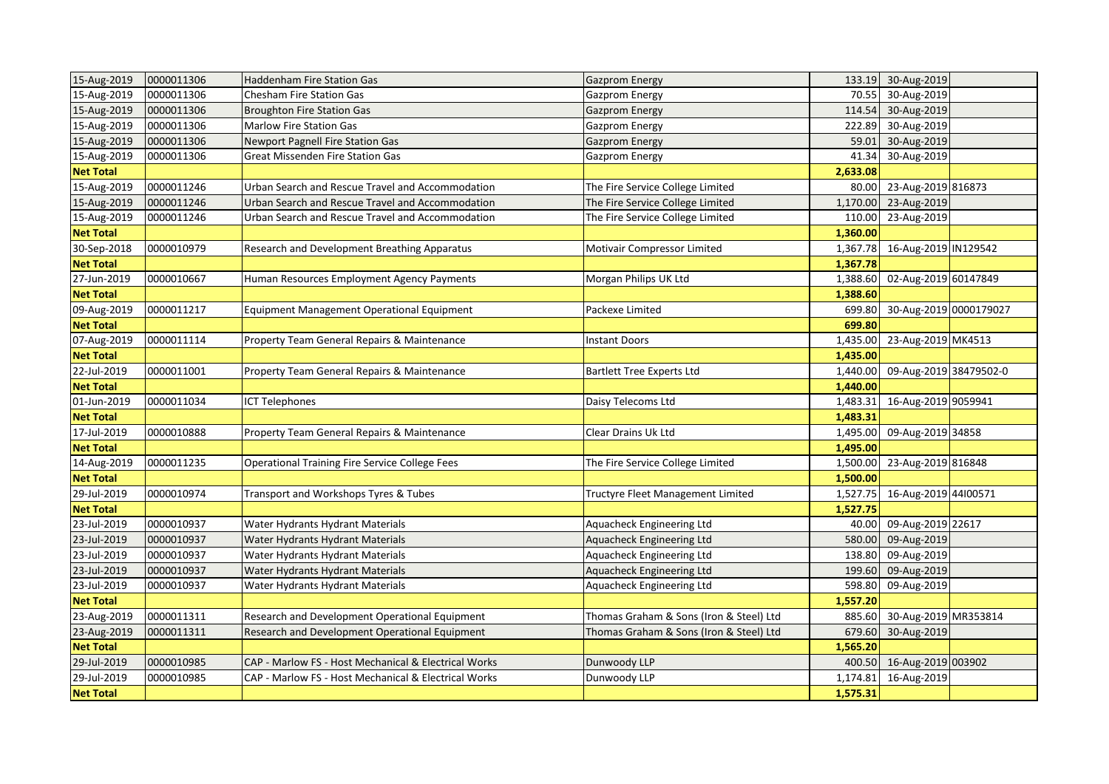| 15-Aug-2019      | 0000011306 | <b>Haddenham Fire Station Gas</b>                     | <b>Gazprom Energy</b>                   |          | 133.19 30-Aug-2019        |  |
|------------------|------------|-------------------------------------------------------|-----------------------------------------|----------|---------------------------|--|
| 15-Aug-2019      | 0000011306 | Chesham Fire Station Gas                              | Gazprom Energy                          | 70.55    | 30-Aug-2019               |  |
| 15-Aug-2019      | 0000011306 | <b>Broughton Fire Station Gas</b>                     | <b>Gazprom Energy</b>                   | 114.54   | 30-Aug-2019               |  |
| 15-Aug-2019      | 0000011306 | <b>Marlow Fire Station Gas</b>                        | Gazprom Energy                          | 222.89   | 30-Aug-2019               |  |
| 15-Aug-2019      | 0000011306 | <b>Newport Pagnell Fire Station Gas</b>               | <b>Gazprom Energy</b>                   | 59.01    | 30-Aug-2019               |  |
| 15-Aug-2019      | 0000011306 | Great Missenden Fire Station Gas                      | Gazprom Energy                          | 41.34    | 30-Aug-2019               |  |
| <b>Net Total</b> |            |                                                       |                                         | 2,633.08 |                           |  |
| 15-Aug-2019      | 0000011246 | Urban Search and Rescue Travel and Accommodation      | The Fire Service College Limited        | 80.00    | 23-Aug-2019 816873        |  |
| 15-Aug-2019      | 0000011246 | Urban Search and Rescue Travel and Accommodation      | The Fire Service College Limited        | 1,170.00 | 23-Aug-2019               |  |
| 15-Aug-2019      | 0000011246 | Urban Search and Rescue Travel and Accommodation      | The Fire Service College Limited        | 110.00   | 23-Aug-2019               |  |
| <b>Net Total</b> |            |                                                       |                                         | 1,360.00 |                           |  |
| 30-Sep-2018      | 0000010979 | Research and Development Breathing Apparatus          | Motivair Compressor Limited             | 1,367.78 | 16-Aug-2019 IN129542      |  |
| <b>Net Total</b> |            |                                                       |                                         | 1,367.78 |                           |  |
| 27-Jun-2019      | 0000010667 | Human Resources Employment Agency Payments            | Morgan Philips UK Ltd                   | 1,388.60 | 02-Aug-2019 60147849      |  |
| <b>Net Total</b> |            |                                                       |                                         | 1,388.60 |                           |  |
| 09-Aug-2019      | 0000011217 | Equipment Management Operational Equipment            | Packexe Limited                         | 699.80   | 30-Aug-2019 0000179027    |  |
| <b>Net Total</b> |            |                                                       |                                         | 699.80   |                           |  |
| 07-Aug-2019      | 0000011114 | Property Team General Repairs & Maintenance           | <b>Instant Doors</b>                    | 1,435.00 | 23-Aug-2019 MK4513        |  |
| <b>Net Total</b> |            |                                                       |                                         | 1,435.00 |                           |  |
| 22-Jul-2019      | 0000011001 | Property Team General Repairs & Maintenance           | <b>Bartlett Tree Experts Ltd</b>        | 1,440.00 | 09-Aug-2019 38479502-0    |  |
| <b>Net Total</b> |            |                                                       |                                         | 1,440.00 |                           |  |
| 01-Jun-2019      | 0000011034 | <b>ICT Telephones</b>                                 | Daisy Telecoms Ltd                      | 1,483.31 | 16-Aug-2019 9059941       |  |
| <b>Net Total</b> |            |                                                       |                                         | 1,483.31 |                           |  |
| 17-Jul-2019      | 0000010888 | Property Team General Repairs & Maintenance           | Clear Drains Uk Ltd                     | 1,495.00 | 09-Aug-2019 34858         |  |
| <b>Net Total</b> |            |                                                       |                                         | 1,495.00 |                           |  |
| 14-Aug-2019      | 0000011235 | <b>Operational Training Fire Service College Fees</b> | The Fire Service College Limited        | 1,500.00 | 23-Aug-2019 816848        |  |
| <b>Net Total</b> |            |                                                       |                                         | 1,500.00 |                           |  |
| 29-Jul-2019      | 0000010974 | Transport and Workshops Tyres & Tubes                 | Tructyre Fleet Management Limited       | 1,527.75 | 16-Aug-2019 44100571      |  |
| <b>Net Total</b> |            |                                                       |                                         | 1,527.75 |                           |  |
| 23-Jul-2019      | 0000010937 | Water Hydrants Hydrant Materials                      | Aquacheck Engineering Ltd               | 40.00    | 09-Aug-2019 22617         |  |
| 23-Jul-2019      | 0000010937 | Water Hydrants Hydrant Materials                      | Aquacheck Engineering Ltd               | 580.00   | 09-Aug-2019               |  |
| 23-Jul-2019      | 0000010937 | Water Hydrants Hydrant Materials                      | Aquacheck Engineering Ltd               | 138.80   | 09-Aug-2019               |  |
| 23-Jul-2019      | 0000010937 | Water Hydrants Hydrant Materials                      | Aquacheck Engineering Ltd               | 199.60   | 09-Aug-2019               |  |
| 23-Jul-2019      | 0000010937 | Water Hydrants Hydrant Materials                      | Aquacheck Engineering Ltd               | 598.80   | 09-Aug-2019               |  |
| <b>Net Total</b> |            |                                                       |                                         | 1,557.20 |                           |  |
| 23-Aug-2019      | 0000011311 | Research and Development Operational Equipment        | Thomas Graham & Sons (Iron & Steel) Ltd | 885.60   | 30-Aug-2019 MR353814      |  |
| 23-Aug-2019      | 0000011311 | Research and Development Operational Equipment        | Thomas Graham & Sons (Iron & Steel) Ltd | 679.60   | 30-Aug-2019               |  |
| <b>Net Total</b> |            |                                                       |                                         | 1,565.20 |                           |  |
| 29-Jul-2019      | 0000010985 | CAP - Marlow FS - Host Mechanical & Electrical Works  | Dunwoody LLP                            |          | 400.50 16-Aug-2019 003902 |  |
| 29-Jul-2019      | 0000010985 | CAP - Marlow FS - Host Mechanical & Electrical Works  | Dunwoody LLP                            | 1,174.81 | 16-Aug-2019               |  |
| <b>Net Total</b> |            |                                                       |                                         | 1,575.31 |                           |  |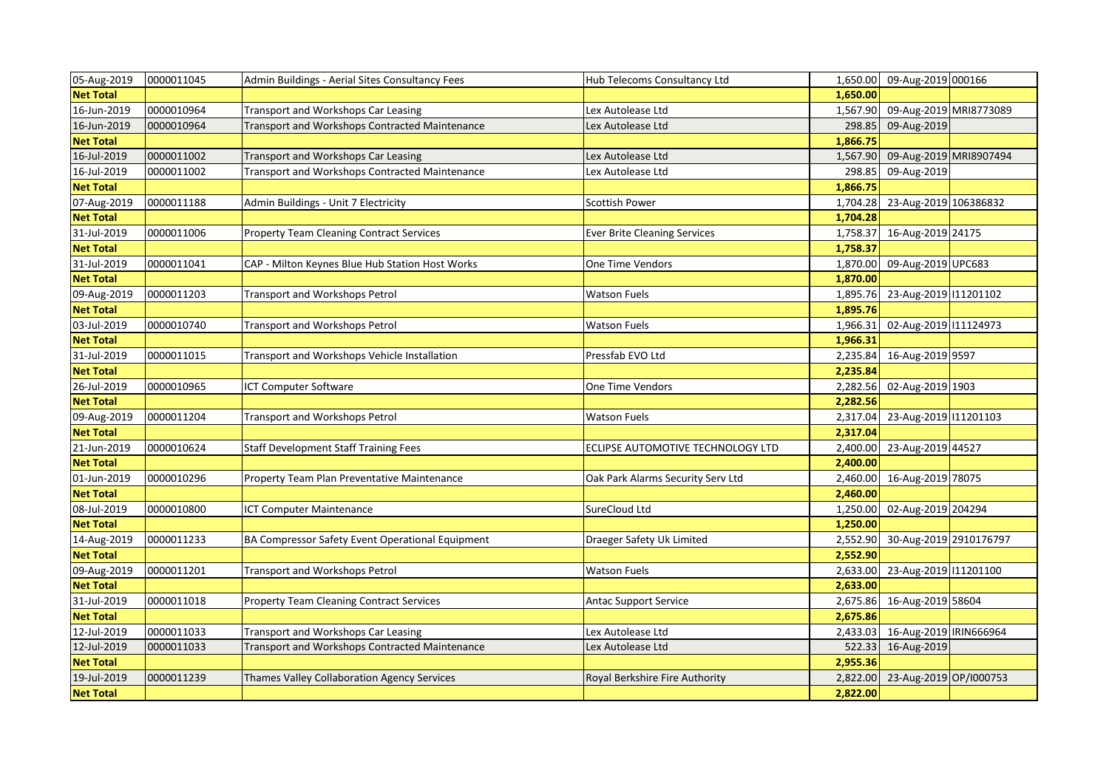| 05-Aug-2019      | 0000011045 | Admin Buildings - Aerial Sites Consultancy Fees  | Hub Telecoms Consultancy Ltd        |          | 1,650.00 09-Aug-2019 000166 |  |
|------------------|------------|--------------------------------------------------|-------------------------------------|----------|-----------------------------|--|
| <b>Net Total</b> |            |                                                  |                                     | 1,650.00 |                             |  |
| 16-Jun-2019      | 0000010964 | Transport and Workshops Car Leasing              | Lex Autolease Ltd                   | 1,567.90 | 09-Aug-2019 MRI8773089      |  |
| 16-Jun-2019      | 0000010964 | Transport and Workshops Contracted Maintenance   | Lex Autolease Ltd                   | 298.85   | 09-Aug-2019                 |  |
| <b>Net Total</b> |            |                                                  |                                     | 1,866.75 |                             |  |
| 16-Jul-2019      | 0000011002 | Transport and Workshops Car Leasing              | Lex Autolease Ltd                   | 1,567.90 | 09-Aug-2019 MRI8907494      |  |
| 16-Jul-2019      | 0000011002 | Transport and Workshops Contracted Maintenance   | Lex Autolease Ltd                   | 298.85   | 09-Aug-2019                 |  |
| <b>Net Total</b> |            |                                                  |                                     | 1,866.75 |                             |  |
| 07-Aug-2019      | 0000011188 | Admin Buildings - Unit 7 Electricity             | Scottish Power                      | 1,704.28 | 23-Aug-2019 106386832       |  |
| <b>Net Total</b> |            |                                                  |                                     | 1,704.28 |                             |  |
| 31-Jul-2019      | 0000011006 | <b>Property Team Cleaning Contract Services</b>  | <b>Ever Brite Cleaning Services</b> | 1,758.37 | 16-Aug-2019 24175           |  |
| <b>Net Total</b> |            |                                                  |                                     | 1,758.37 |                             |  |
| 31-Jul-2019      | 0000011041 | CAP - Milton Keynes Blue Hub Station Host Works  | One Time Vendors                    | 1,870.00 | 09-Aug-2019 UPC683          |  |
| <b>Net Total</b> |            |                                                  |                                     | 1,870.00 |                             |  |
| 09-Aug-2019      | 0000011203 | Transport and Workshops Petrol                   | <b>Watson Fuels</b>                 | 1,895.76 | 23-Aug-2019 11201102        |  |
| <b>Net Total</b> |            |                                                  |                                     | 1,895.76 |                             |  |
| 03-Jul-2019      | 0000010740 | Transport and Workshops Petrol                   | Watson Fuels                        | 1,966.31 | 02-Aug-2019 111124973       |  |
| <b>Net Total</b> |            |                                                  |                                     | 1,966.31 |                             |  |
| 31-Jul-2019      | 0000011015 | Transport and Workshops Vehicle Installation     | Pressfab EVO Ltd                    | 2,235.84 | 16-Aug-2019 9597            |  |
| <b>Net Total</b> |            |                                                  |                                     | 2,235.84 |                             |  |
| 26-Jul-2019      | 0000010965 | ICT Computer Software                            | One Time Vendors                    | 2,282.56 | 02-Aug-2019 1903            |  |
| <b>Net Total</b> |            |                                                  |                                     | 2,282.56 |                             |  |
| 09-Aug-2019      | 0000011204 | Transport and Workshops Petrol                   | Watson Fuels                        | 2,317.04 | 23-Aug-2019 11201103        |  |
| <b>Net Total</b> |            |                                                  |                                     | 2,317.04 |                             |  |
| 21-Jun-2019      | 0000010624 | <b>Staff Development Staff Training Fees</b>     | ECLIPSE AUTOMOTIVE TECHNOLOGY LTD   | 2,400.00 | 23-Aug-2019 44527           |  |
| <b>Net Total</b> |            |                                                  |                                     | 2,400.00 |                             |  |
| 01-Jun-2019      | 0000010296 | Property Team Plan Preventative Maintenance      | Oak Park Alarms Security Serv Ltd   | 2,460.00 | 16-Aug-2019 78075           |  |
| <b>Net Total</b> |            |                                                  |                                     | 2,460.00 |                             |  |
| 08-Jul-2019      | 0000010800 | <b>ICT Computer Maintenance</b>                  | SureCloud Ltd                       | 1,250.00 | 02-Aug-2019 204294          |  |
| <b>Net Total</b> |            |                                                  |                                     | 1,250.00 |                             |  |
| 14-Aug-2019      | 0000011233 | BA Compressor Safety Event Operational Equipment | Draeger Safety Uk Limited           | 2,552.90 | 30-Aug-2019 2910176797      |  |
| <b>Net Total</b> |            |                                                  |                                     | 2,552.90 |                             |  |
| 09-Aug-2019      | 0000011201 | Transport and Workshops Petrol                   | <b>Watson Fuels</b>                 | 2,633.00 | 23-Aug-2019 11201100        |  |
| <b>Net Total</b> |            |                                                  |                                     | 2,633.00 |                             |  |
| 31-Jul-2019      | 0000011018 | <b>Property Team Cleaning Contract Services</b>  | <b>Antac Support Service</b>        | 2,675.86 | 16-Aug-2019 58604           |  |
| <b>Net Total</b> |            |                                                  |                                     | 2,675.86 |                             |  |
| 12-Jul-2019      | 0000011033 | Transport and Workshops Car Leasing              | Lex Autolease Ltd                   | 2,433.03 | 16-Aug-2019   RIN666964     |  |
| 12-Jul-2019      | 0000011033 | Transport and Workshops Contracted Maintenance   | Lex Autolease Ltd                   | 522.33   | 16-Aug-2019                 |  |
| <b>Net Total</b> |            |                                                  |                                     | 2,955.36 |                             |  |
| 19-Jul-2019      | 0000011239 | Thames Valley Collaboration Agency Services      | Royal Berkshire Fire Authority      | 2,822.00 | 23-Aug-2019 OP/I000753      |  |
| <b>Net Total</b> |            |                                                  |                                     | 2,822.00 |                             |  |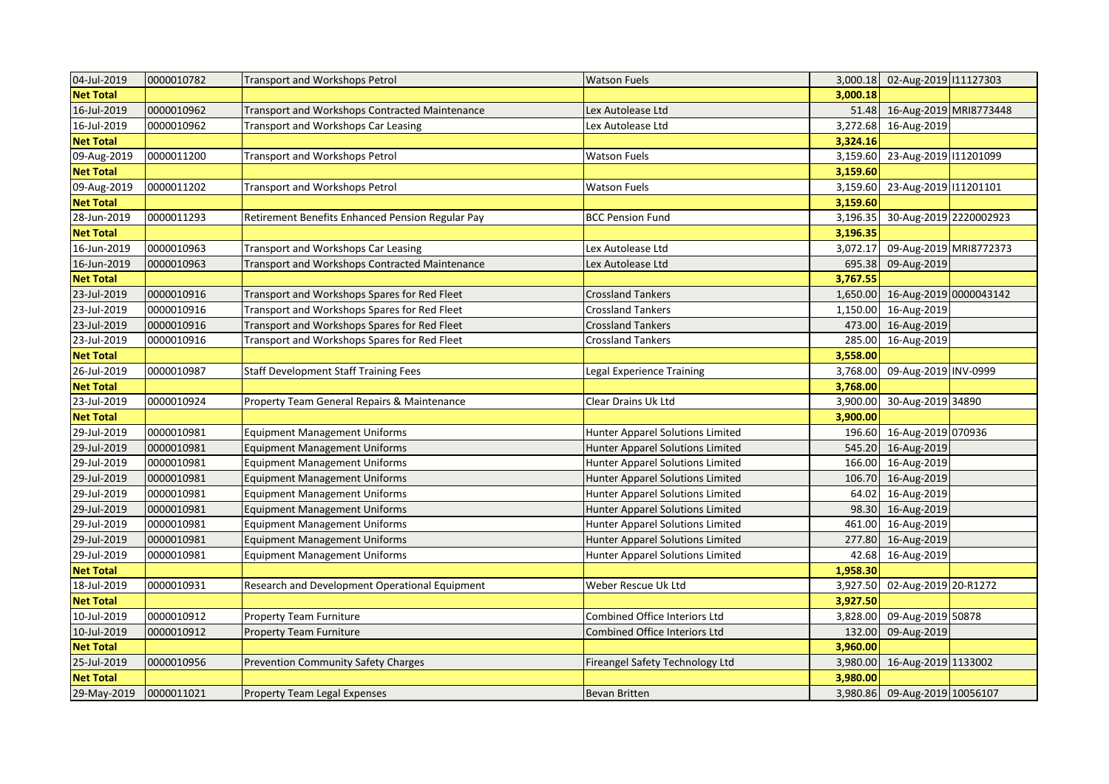| 04-Jul-2019      | 0000010782 | <b>Transport and Workshops Petrol</b>            | <b>Watson Fuels</b>                     |          | 3,000.18 02-Aug-2019 111127303 |  |
|------------------|------------|--------------------------------------------------|-----------------------------------------|----------|--------------------------------|--|
| <b>Net Total</b> |            |                                                  |                                         | 3,000.18 |                                |  |
| 16-Jul-2019      | 0000010962 | Transport and Workshops Contracted Maintenance   | Lex Autolease Ltd                       | 51.48    | 16-Aug-2019 MRI8773448         |  |
| 16-Jul-2019      | 0000010962 | Transport and Workshops Car Leasing              | Lex Autolease Ltd                       | 3,272.68 | 16-Aug-2019                    |  |
| <b>Net Total</b> |            |                                                  |                                         | 3,324.16 |                                |  |
| 09-Aug-2019      | 0000011200 | Transport and Workshops Petrol                   | <b>Watson Fuels</b>                     | 3,159.60 | 23-Aug-2019 11201099           |  |
| <b>Net Total</b> |            |                                                  |                                         | 3,159.60 |                                |  |
| 09-Aug-2019      | 0000011202 | <b>Transport and Workshops Petrol</b>            | <b>Watson Fuels</b>                     | 3,159.60 | 23-Aug-2019 11201101           |  |
| <b>Net Total</b> |            |                                                  |                                         | 3,159.60 |                                |  |
| 28-Jun-2019      | 0000011293 | Retirement Benefits Enhanced Pension Regular Pay | <b>BCC Pension Fund</b>                 | 3,196.35 | 30-Aug-2019 2220002923         |  |
| <b>Net Total</b> |            |                                                  |                                         | 3,196.35 |                                |  |
| 16-Jun-2019      | 0000010963 | Transport and Workshops Car Leasing              | Lex Autolease Ltd                       | 3,072.17 | 09-Aug-2019 MRI8772373         |  |
| 16-Jun-2019      | 0000010963 | Transport and Workshops Contracted Maintenance   | Lex Autolease Ltd                       | 695.38   | 09-Aug-2019                    |  |
| <b>Net Total</b> |            |                                                  |                                         | 3,767.55 |                                |  |
| 23-Jul-2019      | 0000010916 | Transport and Workshops Spares for Red Fleet     | <b>Crossland Tankers</b>                | 1,650.00 | 16-Aug-2019 0000043142         |  |
| 23-Jul-2019      | 0000010916 | Transport and Workshops Spares for Red Fleet     | <b>Crossland Tankers</b>                | 1,150.00 | 16-Aug-2019                    |  |
| 23-Jul-2019      | 0000010916 | Transport and Workshops Spares for Red Fleet     | <b>Crossland Tankers</b>                | 473.00   | 16-Aug-2019                    |  |
| 23-Jul-2019      | 0000010916 | Transport and Workshops Spares for Red Fleet     | <b>Crossland Tankers</b>                | 285.00   | 16-Aug-2019                    |  |
| <b>Net Total</b> |            |                                                  |                                         | 3,558.00 |                                |  |
| 26-Jul-2019      | 0000010987 | <b>Staff Development Staff Training Fees</b>     | Legal Experience Training               | 3,768.00 | 09-Aug-2019 INV-0999           |  |
| <b>Net Total</b> |            |                                                  |                                         | 3,768.00 |                                |  |
| 23-Jul-2019      | 0000010924 | Property Team General Repairs & Maintenance      | Clear Drains Uk Ltd                     | 3,900.00 | 30-Aug-2019 34890              |  |
| <b>Net Total</b> |            |                                                  |                                         | 3,900.00 |                                |  |
| 29-Jul-2019      | 0000010981 | <b>Equipment Management Uniforms</b>             | Hunter Apparel Solutions Limited        | 196.60   | 16-Aug-2019 070936             |  |
| 29-Jul-2019      | 0000010981 | <b>Equipment Management Uniforms</b>             | Hunter Apparel Solutions Limited        | 545.20   | 16-Aug-2019                    |  |
| 29-Jul-2019      | 0000010981 | <b>Equipment Management Uniforms</b>             | Hunter Apparel Solutions Limited        | 166.00   | 16-Aug-2019                    |  |
| 29-Jul-2019      | 0000010981 | <b>Equipment Management Uniforms</b>             | Hunter Apparel Solutions Limited        | 106.70   | 16-Aug-2019                    |  |
| 29-Jul-2019      | 0000010981 | <b>Equipment Management Uniforms</b>             | Hunter Apparel Solutions Limited        | 64.02    | 16-Aug-2019                    |  |
| 29-Jul-2019      | 0000010981 | <b>Equipment Management Uniforms</b>             | <b>Hunter Apparel Solutions Limited</b> | 98.30    | 16-Aug-2019                    |  |
| 29-Jul-2019      | 0000010981 | <b>Equipment Management Uniforms</b>             | Hunter Apparel Solutions Limited        | 461.00   | 16-Aug-2019                    |  |
| 29-Jul-2019      | 0000010981 | <b>Equipment Management Uniforms</b>             | Hunter Apparel Solutions Limited        | 277.80   | 16-Aug-2019                    |  |
| 29-Jul-2019      | 0000010981 | <b>Equipment Management Uniforms</b>             | Hunter Apparel Solutions Limited        | 42.68    | 16-Aug-2019                    |  |
| <b>Net Total</b> |            |                                                  |                                         | 1,958.30 |                                |  |
| 18-Jul-2019      | 0000010931 | Research and Development Operational Equipment   | Weber Rescue Uk Ltd                     | 3,927.50 | 02-Aug-2019 20-R1272           |  |
| <b>Net Total</b> |            |                                                  |                                         | 3,927.50 |                                |  |
| 10-Jul-2019      | 0000010912 | Property Team Furniture                          | Combined Office Interiors Ltd           | 3,828.00 | 09-Aug-2019 50878              |  |
| 10-Jul-2019      | 0000010912 | <b>Property Team Furniture</b>                   | <b>Combined Office Interiors Ltd</b>    | 132.00   | 09-Aug-2019                    |  |
| <b>Net Total</b> |            |                                                  |                                         | 3,960.00 |                                |  |
| 25-Jul-2019      | 0000010956 | <b>Prevention Community Safety Charges</b>       | Fireangel Safety Technology Ltd         | 3,980.00 | 16-Aug-2019 1133002            |  |
| <b>Net Total</b> |            |                                                  |                                         | 3,980.00 |                                |  |
| 29-May-2019      | 0000011021 | <b>Property Team Legal Expenses</b>              | <b>Bevan Britten</b>                    |          | 3,980.86 09-Aug-2019 10056107  |  |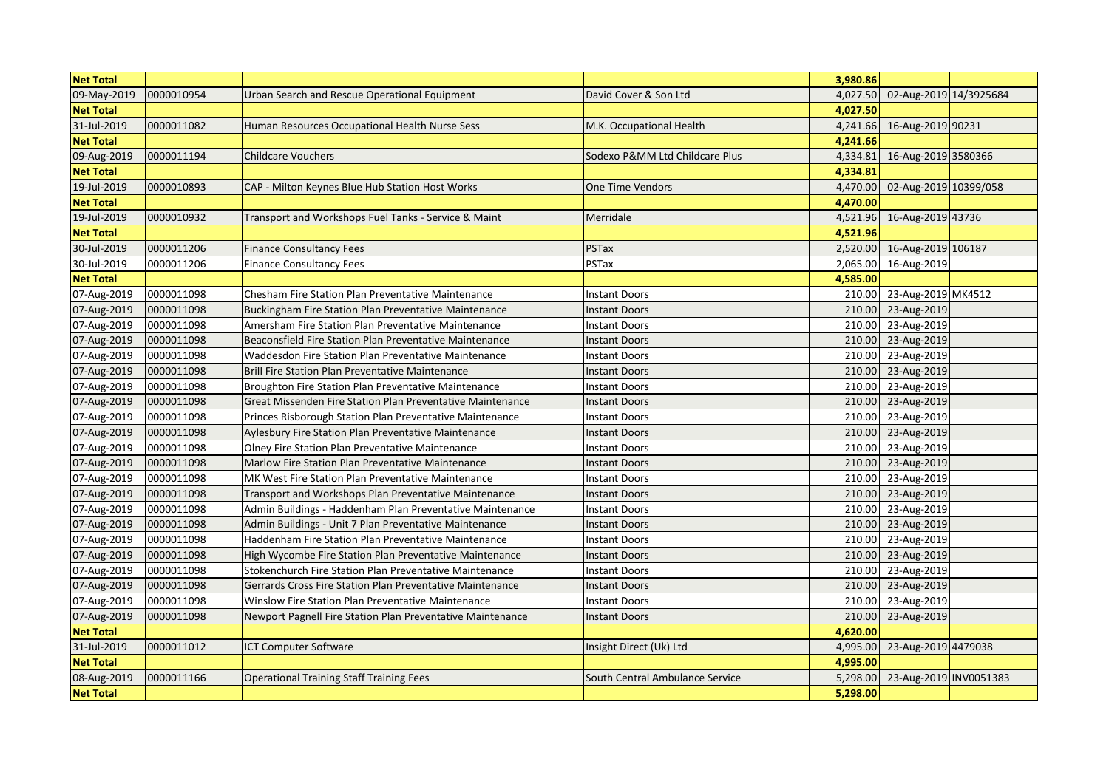| <b>Net Total</b> |            |                                                             |                                 | 3,980.86 |                             |  |
|------------------|------------|-------------------------------------------------------------|---------------------------------|----------|-----------------------------|--|
| 09-May-2019      | 0000010954 | Urban Search and Rescue Operational Equipment               | David Cover & Son Ltd           | 4,027.50 | 02-Aug-2019 14/3925684      |  |
| <b>Net Total</b> |            |                                                             |                                 | 4,027.50 |                             |  |
| 31-Jul-2019      | 0000011082 | Human Resources Occupational Health Nurse Sess              | M.K. Occupational Health        | 4,241.66 | 16-Aug-2019 90231           |  |
| <b>Net Total</b> |            |                                                             |                                 | 4,241.66 |                             |  |
| 09-Aug-2019      | 0000011194 | <b>Childcare Vouchers</b>                                   | Sodexo P&MM Ltd Childcare Plus  | 4,334.81 | 16-Aug-2019 3580366         |  |
| <b>Net Total</b> |            |                                                             |                                 | 4,334.81 |                             |  |
| 19-Jul-2019      | 0000010893 | CAP - Milton Keynes Blue Hub Station Host Works             | <b>One Time Vendors</b>         | 4,470.00 | 02-Aug-2019 10399/058       |  |
| <b>Net Total</b> |            |                                                             |                                 | 4,470.00 |                             |  |
| 19-Jul-2019      | 0000010932 | Transport and Workshops Fuel Tanks - Service & Maint        | Merridale                       | 4,521.96 | 16-Aug-2019 43736           |  |
| <b>Net Total</b> |            |                                                             |                                 | 4,521.96 |                             |  |
| 30-Jul-2019      | 0000011206 | <b>Finance Consultancy Fees</b>                             | <b>PSTax</b>                    |          | 2,520.00 16-Aug-2019 106187 |  |
| 30-Jul-2019      | 0000011206 | <b>Finance Consultancy Fees</b>                             | PSTax                           | 2,065.00 | 16-Aug-2019                 |  |
| <b>Net Total</b> |            |                                                             |                                 | 4,585.00 |                             |  |
| 07-Aug-2019      | 0000011098 | Chesham Fire Station Plan Preventative Maintenance          | <b>Instant Doors</b>            | 210.00   | 23-Aug-2019 MK4512          |  |
| 07-Aug-2019      | 0000011098 | Buckingham Fire Station Plan Preventative Maintenance       | <b>Instant Doors</b>            | 210.00   | 23-Aug-2019                 |  |
| 07-Aug-2019      | 0000011098 | Amersham Fire Station Plan Preventative Maintenance         | <b>Instant Doors</b>            | 210.00   | 23-Aug-2019                 |  |
| 07-Aug-2019      | 0000011098 | Beaconsfield Fire Station Plan Preventative Maintenance     | <b>Instant Doors</b>            | 210.00   | 23-Aug-2019                 |  |
| 07-Aug-2019      | 0000011098 | Waddesdon Fire Station Plan Preventative Maintenance        | <b>Instant Doors</b>            | 210.00   | 23-Aug-2019                 |  |
| 07-Aug-2019      | 0000011098 | <b>Brill Fire Station Plan Preventative Maintenance</b>     | <b>Instant Doors</b>            | 210.00   | 23-Aug-2019                 |  |
| 07-Aug-2019      | 0000011098 | Broughton Fire Station Plan Preventative Maintenance        | <b>Instant Doors</b>            | 210.00   | 23-Aug-2019                 |  |
| 07-Aug-2019      | 0000011098 | Great Missenden Fire Station Plan Preventative Maintenance  | <b>Instant Doors</b>            |          | 210.00 23-Aug-2019          |  |
| 07-Aug-2019      | 0000011098 | Princes Risborough Station Plan Preventative Maintenance    | <b>Instant Doors</b>            | 210.00   | 23-Aug-2019                 |  |
| 07-Aug-2019      | 0000011098 | Aylesbury Fire Station Plan Preventative Maintenance        | <b>Instant Doors</b>            | 210.00   | 23-Aug-2019                 |  |
| 07-Aug-2019      | 0000011098 | <b>Olney Fire Station Plan Preventative Maintenance</b>     | <b>Instant Doors</b>            | 210.00   | 23-Aug-2019                 |  |
| 07-Aug-2019      | 0000011098 | Marlow Fire Station Plan Preventative Maintenance           | <b>Instant Doors</b>            | 210.00   | 23-Aug-2019                 |  |
| 07-Aug-2019      | 0000011098 | MK West Fire Station Plan Preventative Maintenance          | <b>Instant Doors</b>            | 210.00   | 23-Aug-2019                 |  |
| 07-Aug-2019      | 0000011098 | Transport and Workshops Plan Preventative Maintenance       | <b>Instant Doors</b>            | 210.00   | 23-Aug-2019                 |  |
| 07-Aug-2019      | 0000011098 | Admin Buildings - Haddenham Plan Preventative Maintenance   | <b>Instant Doors</b>            | 210.00   | 23-Aug-2019                 |  |
| 07-Aug-2019      | 0000011098 | Admin Buildings - Unit 7 Plan Preventative Maintenance      | <b>Instant Doors</b>            | 210.00   | 23-Aug-2019                 |  |
| 07-Aug-2019      | 0000011098 | <b>Haddenham Fire Station Plan Preventative Maintenance</b> | <b>Instant Doors</b>            | 210.00   | 23-Aug-2019                 |  |
| 07-Aug-2019      | 0000011098 | High Wycombe Fire Station Plan Preventative Maintenance     | <b>Instant Doors</b>            | 210.00   | 23-Aug-2019                 |  |
| 07-Aug-2019      | 0000011098 | Stokenchurch Fire Station Plan Preventative Maintenance     | <b>Instant Doors</b>            | 210.00   | 23-Aug-2019                 |  |
| 07-Aug-2019      | 0000011098 | Gerrards Cross Fire Station Plan Preventative Maintenance   | <b>Instant Doors</b>            | 210.00   | 23-Aug-2019                 |  |
| 07-Aug-2019      | 0000011098 | Winslow Fire Station Plan Preventative Maintenance          | <b>Instant Doors</b>            | 210.00   | 23-Aug-2019                 |  |
| 07-Aug-2019      | 0000011098 | Newport Pagnell Fire Station Plan Preventative Maintenance  | <b>Instant Doors</b>            | 210.00   | 23-Aug-2019                 |  |
| <b>Net Total</b> |            |                                                             |                                 | 4,620.00 |                             |  |
| 31-Jul-2019      | 0000011012 | <b>CT Computer Software</b>                                 | Insight Direct (Uk) Ltd         | 4,995.00 | 23-Aug-2019 4479038         |  |
| <b>Net Total</b> |            |                                                             |                                 | 4,995.00 |                             |  |
| 08-Aug-2019      | 0000011166 | <b>Operational Training Staff Training Fees</b>             | South Central Ambulance Service | 5,298.00 | 23-Aug-2019 INV0051383      |  |
| <b>Net Total</b> |            |                                                             |                                 | 5,298.00 |                             |  |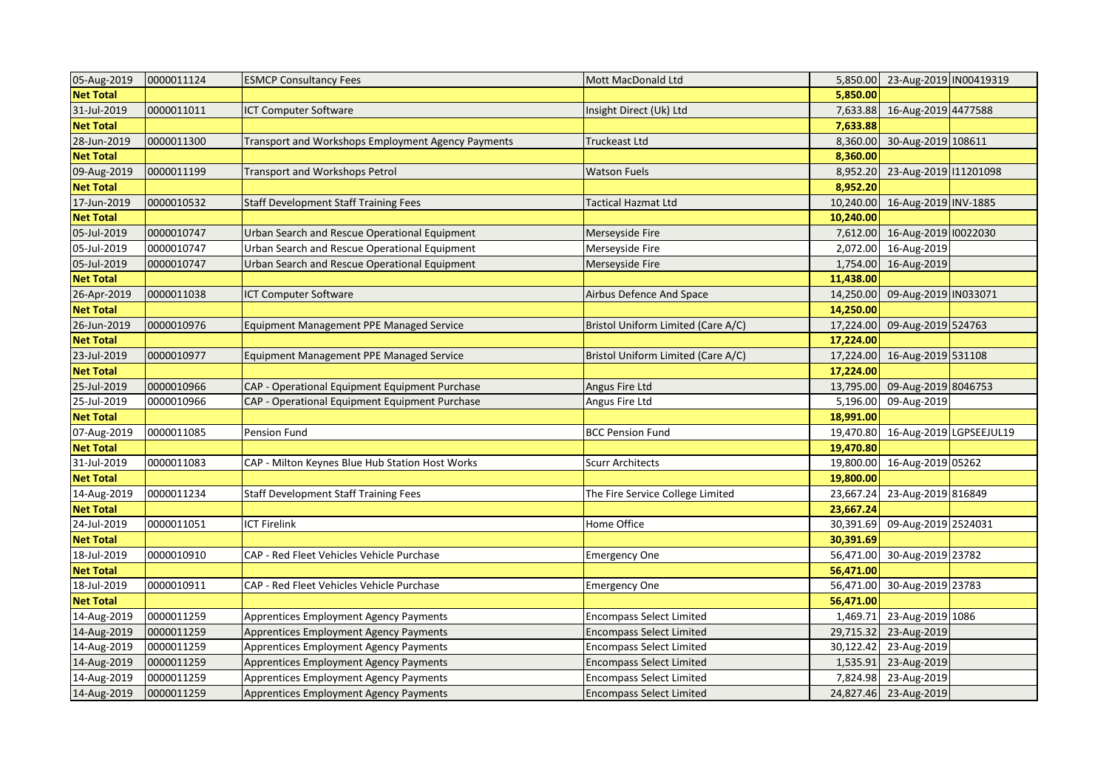| 05-Aug-2019      | 0000011124 | <b>ESMCP Consultancy Fees</b>                      | Mott MacDonald Ltd                 |           | 5,850.00 23-Aug-2019 IN00419319 |  |
|------------------|------------|----------------------------------------------------|------------------------------------|-----------|---------------------------------|--|
| <b>Net Total</b> |            |                                                    |                                    | 5,850.00  |                                 |  |
| 31-Jul-2019      | 0000011011 | <b>CT Computer Software</b>                        | Insight Direct (Uk) Ltd            | 7,633.88  | 16-Aug-2019 4477588             |  |
| <b>Net Total</b> |            |                                                    |                                    | 7,633.88  |                                 |  |
| 28-Jun-2019      | 0000011300 | Transport and Workshops Employment Agency Payments | <b>Truckeast Ltd</b>               | 8,360.00  | 30-Aug-2019 108611              |  |
| <b>Net Total</b> |            |                                                    |                                    | 8,360.00  |                                 |  |
| 09-Aug-2019      | 0000011199 | <b>Transport and Workshops Petrol</b>              | <b>Watson Fuels</b>                | 8,952.20  | 23-Aug-2019 11201098            |  |
| <b>Net Total</b> |            |                                                    |                                    | 8,952.20  |                                 |  |
| 17-Jun-2019      | 0000010532 | <b>Staff Development Staff Training Fees</b>       | <b>Tactical Hazmat Ltd</b>         | 10,240.00 | 16-Aug-2019 INV-1885            |  |
| <b>Net Total</b> |            |                                                    |                                    | 10,240.00 |                                 |  |
| 05-Jul-2019      | 0000010747 | Urban Search and Rescue Operational Equipment      | Merseyside Fire                    | 7,612.00  | 16-Aug-2019 10022030            |  |
| 05-Jul-2019      | 0000010747 | Urban Search and Rescue Operational Equipment      | Merseyside Fire                    | 2,072.00  | 16-Aug-2019                     |  |
| 05-Jul-2019      | 0000010747 | Urban Search and Rescue Operational Equipment      | Merseyside Fire                    | 1,754.00  | 16-Aug-2019                     |  |
| <b>Net Total</b> |            |                                                    |                                    | 11,438.00 |                                 |  |
| 26-Apr-2019      | 0000011038 | <b>CT Computer Software</b>                        | Airbus Defence And Space           | 14,250.00 | 09-Aug-2019 IN033071            |  |
| <b>Net Total</b> |            |                                                    |                                    | 14,250.00 |                                 |  |
| 26-Jun-2019      | 0000010976 | Equipment Management PPE Managed Service           | Bristol Uniform Limited (Care A/C) | 17,224.00 | 09-Aug-2019 524763              |  |
| <b>Net Total</b> |            |                                                    |                                    | 17,224.00 |                                 |  |
| 23-Jul-2019      | 0000010977 | Equipment Management PPE Managed Service           | Bristol Uniform Limited (Care A/C) | 17,224.00 | 16-Aug-2019 531108              |  |
| <b>Net Total</b> |            |                                                    |                                    | 17,224.00 |                                 |  |
| 25-Jul-2019      | 0000010966 | CAP - Operational Equipment Equipment Purchase     | Angus Fire Ltd                     | 13,795.00 | 09-Aug-2019 8046753             |  |
| 25-Jul-2019      | 0000010966 | CAP - Operational Equipment Equipment Purchase     | Angus Fire Ltd                     | 5,196.00  | 09-Aug-2019                     |  |
| <b>Net Total</b> |            |                                                    |                                    | 18,991.00 |                                 |  |
| 07-Aug-2019      | 0000011085 | Pension Fund                                       | <b>BCC Pension Fund</b>            | 19,470.80 | 16-Aug-2019 LGPSEEJUL19         |  |
| <b>Net Total</b> |            |                                                    |                                    | 19,470.80 |                                 |  |
| 31-Jul-2019      | 0000011083 | CAP - Milton Keynes Blue Hub Station Host Works    | <b>Scurr Architects</b>            | 19,800.00 | 16-Aug-2019 05262               |  |
| <b>Net Total</b> |            |                                                    |                                    | 19,800.00 |                                 |  |
| 14-Aug-2019      | 0000011234 | <b>Staff Development Staff Training Fees</b>       | The Fire Service College Limited   | 23,667.24 | 23-Aug-2019 816849              |  |
| <b>Net Total</b> |            |                                                    |                                    | 23,667.24 |                                 |  |
| 24-Jul-2019      | 0000011051 | <b>ICT Firelink</b>                                | Home Office                        | 30,391.69 | 09-Aug-2019 2524031             |  |
| <b>Net Total</b> |            |                                                    |                                    | 30,391.69 |                                 |  |
| 18-Jul-2019      | 0000010910 | CAP - Red Fleet Vehicles Vehicle Purchase          | <b>Emergency One</b>               | 56,471.00 | 30-Aug-2019 23782               |  |
| <b>Net Total</b> |            |                                                    |                                    | 56,471.00 |                                 |  |
| 18-Jul-2019      | 0000010911 | CAP - Red Fleet Vehicles Vehicle Purchase          | <b>Emergency One</b>               | 56,471.00 | 30-Aug-2019 23783               |  |
| <b>Net Total</b> |            |                                                    |                                    | 56,471.00 |                                 |  |
| 14-Aug-2019      | 0000011259 | Apprentices Employment Agency Payments             | <b>Encompass Select Limited</b>    | 1,469.71  | 23-Aug-2019 1086                |  |
| 14-Aug-2019      | 0000011259 | Apprentices Employment Agency Payments             | <b>Encompass Select Limited</b>    | 29,715.32 | 23-Aug-2019                     |  |
| 14-Aug-2019      | 0000011259 | Apprentices Employment Agency Payments             | <b>Encompass Select Limited</b>    | 30,122.42 | 23-Aug-2019                     |  |
| 14-Aug-2019      | 0000011259 | Apprentices Employment Agency Payments             | <b>Encompass Select Limited</b>    | 1,535.91  | 23-Aug-2019                     |  |
| 14-Aug-2019      | 0000011259 | Apprentices Employment Agency Payments             | <b>Encompass Select Limited</b>    | 7,824.98  | 23-Aug-2019                     |  |
| 14-Aug-2019      | 0000011259 | Apprentices Employment Agency Payments             | <b>Encompass Select Limited</b>    |           | 24,827.46 23-Aug-2019           |  |